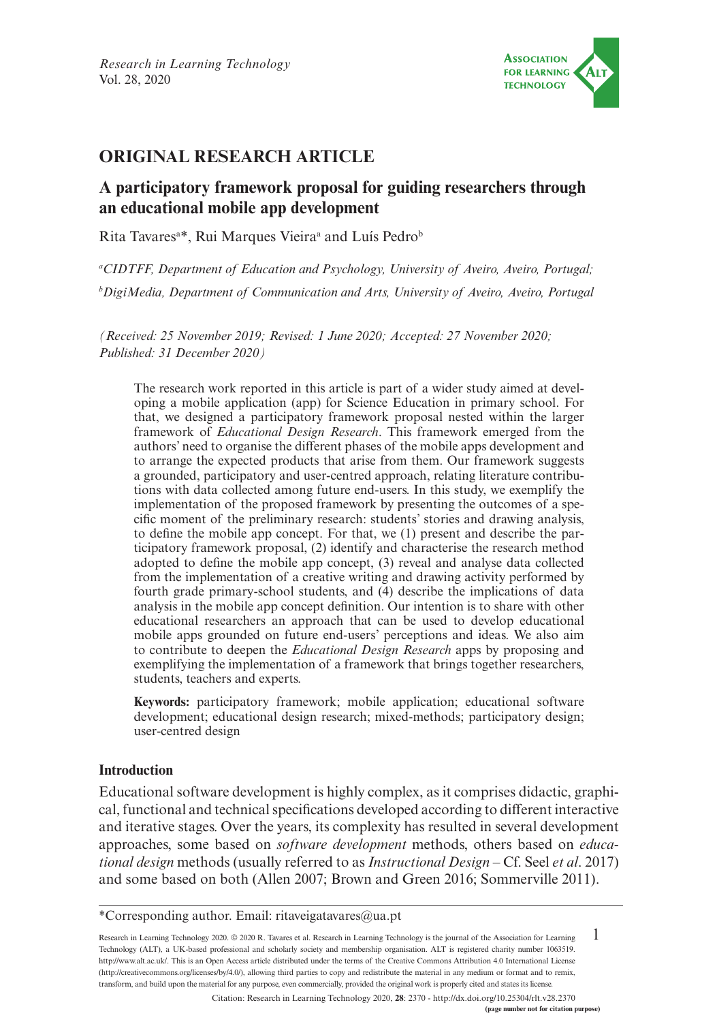

# **ORIGINAL RESEARCH ARTICLE**

# **A participatory framework proposal for guiding researchers through an educational mobile app development**

Rita Tavares<sup>a\*</sup>, Rui Marques Vieira<sup>a</sup> and Luís Pedro<sup>b</sup>

*a CIDTFF, Department of Education and Psychology, University of Aveiro, Aveiro, Portugal; b DigiMedia, Department of Communication and Arts, University of Aveiro, Aveiro, Portugal*

*(Received: 25 November 2019; Revised: 1 June 2020; Accepted: 27 November 2020; Published: 31 December 2020)*

The research work reported in this article is part of a wider study aimed at developing a mobile application (app) for Science Education in primary school. For that, we designed a participatory framework proposal nested within the larger framework of *Educational Design Research*. This framework emerged from the authors' need to organise the different phases of the mobile apps development and to arrange the expected products that arise from them. Our framework suggests a grounded, participatory and user-centred approach, relating literature contributions with data collected among future end-users. In this study, we exemplify the implementation of the proposed framework by presenting the outcomes of a specific moment of the preliminary research: students' stories and drawing analysis, to define the mobile app concept. For that, we (1) present and describe the participatory framework proposal, (2) identify and characterise the research method adopted to define the mobile app concept, (3) reveal and analyse data collected from the implementation of a creative writing and drawing activity performed by fourth grade primary-school students, and (4) describe the implications of data analysis in the mobile app concept definition. Our intention is to share with other educational researchers an approach that can be used to develop educational mobile apps grounded on future end-users' perceptions and ideas. We also aim to contribute to deepen the *Educational Design Research* apps by proposing and exemplifying the implementation of a framework that brings together researchers, students, teachers and experts.

**Keywords:** participatory framework; mobile application; educational software development; educational design research; mixed-methods; participatory design; user-centred design

### **Introduction**

Educational software development is highly complex, as it comprises didactic, graphical, functional and technical specifications developed according to different interactive and iterative stages. Over the years, its complexity has resulted in several development approaches, some based on *software development* methods, others based on *educational design* methods (usually referred to as *Instructional Design* – Cf. Seel *et al*. 2017) and some based on both (Allen 2007; Brown and Green 2016; Sommerville 2011).

1 Research in Learning Technology 2020. © 2020 R. Tavares et al. Research in Learning Technology is the journal of the Association for Learning Technology (ALT), a UK-based professional and scholarly society and membership organisation. ALT is registered charity number 1063519. [http://www.alt.ac.uk/.](http://www.alt.ac.uk/) This is an Open Access article distributed under the terms of the Creative Commons Attribution 4.0 International License (<http://creativecommons.org/licenses/by/4.0/>), allowing third parties to copy and redistribute the material in any medium or format and to remix, transform, and build upon the material for any purpose, even commercially, provided the original work is properly cited and states its license.

**(page number not for citation purpose)** Citation: Research in Learning Technology 2020, **28**: 2370 - <http://dx.doi.org/10.25304/rlt.v28.2370>

<sup>\*</sup>Corresponding author. Email: [ritaveigatavares@ua.pt](mailto:ritaveigatavares@ua.pt)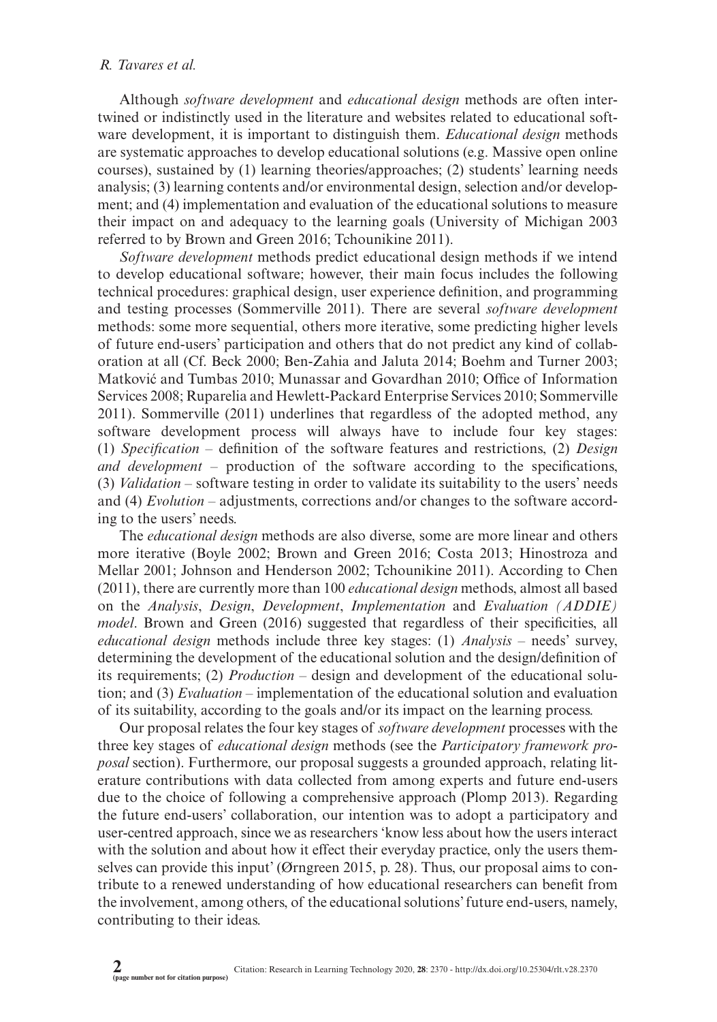Although *software development* and *educational design* methods are often intertwined or indistinctly used in the literature and websites related to educational software development, it is important to distinguish them. *Educational design* methods are systematic approaches to develop educational solutions (e.g. Massive open online courses), sustained by (1) learning theories/approaches; (2) students' learning needs analysis; (3) learning contents and/or environmental design, selection and/or development; and (4) implementation and evaluation of the educational solutions to measure their impact on and adequacy to the learning goals (University of Michigan 2003 referred to by Brown and Green 2016; Tchounikine 2011).

*Software development* methods predict educational design methods if we intend to develop educational software; however, their main focus includes the following technical procedures: graphical design, user experience definition, and programming and testing processes (Sommerville 2011). There are several *software development* methods: some more sequential, others more iterative, some predicting higher levels of future end-users' participation and others that do not predict any kind of collaboration at all (Cf. Beck 2000; Ben-Zahia and Jaluta 2014; Boehm and Turner 2003; Matković and Tumbas 2010; Munassar and Govardhan 2010; Office of Information Services 2008; Ruparelia and Hewlett-Packard Enterprise Services 2010; Sommerville 2011). Sommerville (2011) underlines that regardless of the adopted method, any software development process will always have to include four key stages: (1) *Specification* – definition of the software features and restrictions, (2) *Design and development* – production of the software according to the specifications, (3) *Validation* – software testing in order to validate its suitability to the users' needs and (4) *Evolution* – adjustments, corrections and/or changes to the software according to the users' needs.

The *educational design* methods are also diverse, some are more linear and others more iterative (Boyle 2002; Brown and Green 2016; Costa 2013; Hinostroza and Mellar 2001; Johnson and Henderson 2002; Tchounikine 2011). According to Chen (2011), there are currently more than 100 *educational design* methods, almost all based on the *Analysis*, *Design*, *Development*, *Implementation* and *Evaluation (ADDIE) model*. Brown and Green (2016) suggested that regardless of their specificities, all *educational design* methods include three key stages: (1) *Analysis* – needs' survey, determining the development of the educational solution and the design/definition of its requirements; (2) *Production* – design and development of the educational solution; and (3) *Evaluation* – implementation of the educational solution and evaluation of its suitability, according to the goals and/or its impact on the learning process.

Our proposal relates the four key stages of *software development* processes with the three key stages of *educational design* methods (see the *Participatory framework proposal* section). Furthermore, our proposal suggests a grounded approach, relating literature contributions with data collected from among experts and future end-users due to the choice of following a comprehensive approach (Plomp 2013). Regarding the future end-users' collaboration, our intention was to adopt a participatory and user-centred approach, since we as researchers 'know less about how the users interact with the solution and about how it effect their everyday practice, only the users themselves can provide this input' (Ørngreen 2015, p. 28). Thus, our proposal aims to contribute to a renewed understanding of how educational researchers can benefit from the involvement, among others, of the educational solutions' future end-users, namely, contributing to their ideas.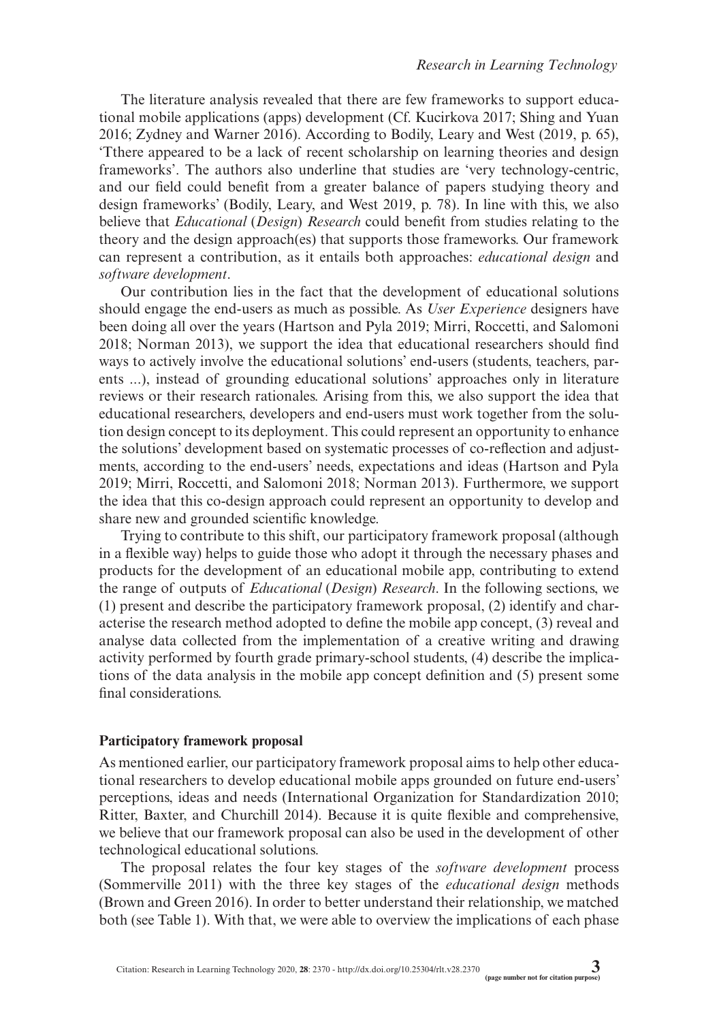The literature analysis revealed that there are few frameworks to support educational mobile applications (apps) development (Cf. Kucirkova 2017; Shing and Yuan 2016; Zydney and Warner 2016). According to Bodily, Leary and West (2019, p. 65), 'Tthere appeared to be a lack of recent scholarship on learning theories and design frameworks'. The authors also underline that studies are 'very technology-centric, and our field could benefit from a greater balance of papers studying theory and design frameworks' (Bodily, Leary, and West 2019, p. 78). In line with this, we also believe that *Educational* (*Design*) *Research* could benefit from studies relating to the theory and the design approach(es) that supports those frameworks. Our framework can represent a contribution, as it entails both approaches: *educational design* and *software development*.

Our contribution lies in the fact that the development of educational solutions should engage the end-users as much as possible. As *User Experience* designers have been doing all over the years (Hartson and Pyla 2019; Mirri, Roccetti, and Salomoni 2018; Norman 2013), we support the idea that educational researchers should find ways to actively involve the educational solutions' end-users (students, teachers, parents ...), instead of grounding educational solutions' approaches only in literature reviews or their research rationales. Arising from this, we also support the idea that educational researchers, developers and end-users must work together from the solution design concept to its deployment. This could represent an opportunity to enhance the solutions' development based on systematic processes of co-reflection and adjustments, according to the end-users' needs, expectations and ideas (Hartson and Pyla 2019; Mirri, Roccetti, and Salomoni 2018; Norman 2013). Furthermore, we support the idea that this co-design approach could represent an opportunity to develop and share new and grounded scientific knowledge.

Trying to contribute to this shift, our participatory framework proposal (although in a flexible way) helps to guide those who adopt it through the necessary phases and products for the development of an educational mobile app, contributing to extend the range of outputs of *Educational* (*Design*) *Research*. In the following sections, we (1) present and describe the participatory framework proposal, (2) identify and characterise the research method adopted to define the mobile app concept, (3) reveal and analyse data collected from the implementation of a creative writing and drawing activity performed by fourth grade primary-school students, (4) describe the implications of the data analysis in the mobile app concept definition and (5) present some final considerations.

#### **Participatory framework proposal**

As mentioned earlier, our participatory framework proposal aims to help other educational researchers to develop educational mobile apps grounded on future end-users' perceptions, ideas and needs (International Organization for Standardization 2010; Ritter, Baxter, and Churchill 2014). Because it is quite flexible and comprehensive, we believe that our framework proposal can also be used in the development of other technological educational solutions.

The proposal relates the four key stages of the *software development* process (Sommerville 2011) with the three key stages of the *educational design* methods (Brown and Green 2016). In order to better understand their relationship, we matched both (see Table 1). With that, we were able to overview the implications of each phase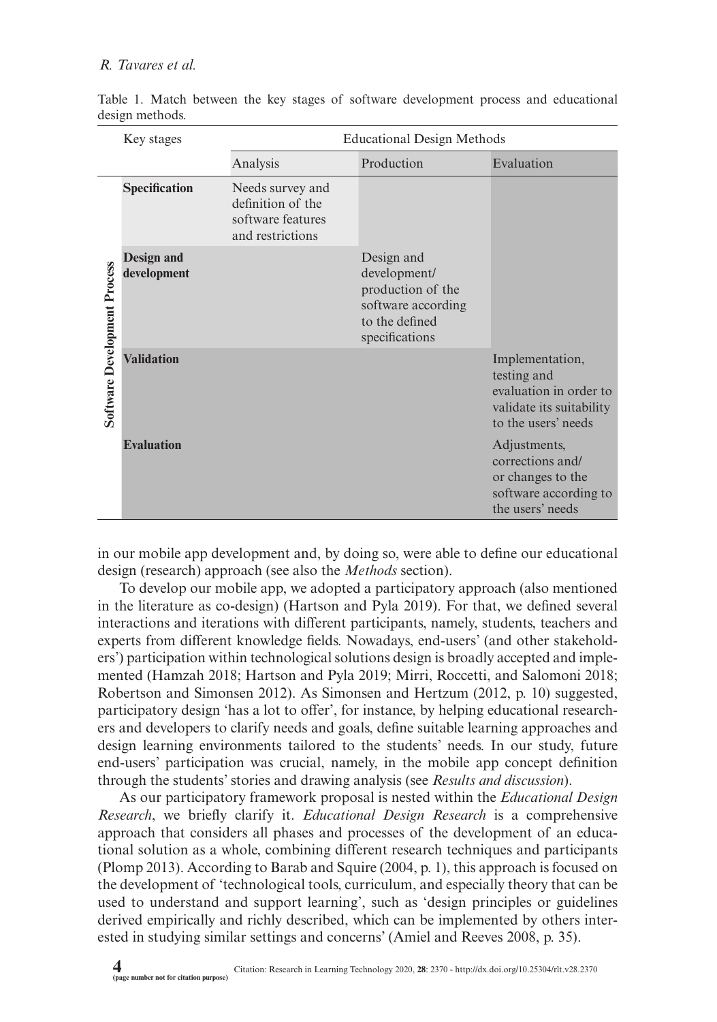|                                     | <b>Educational Design Methods</b><br>Key stages |                                                                                |                                                                                                           |                                                                                                             |
|-------------------------------------|-------------------------------------------------|--------------------------------------------------------------------------------|-----------------------------------------------------------------------------------------------------------|-------------------------------------------------------------------------------------------------------------|
|                                     |                                                 | Analysis                                                                       | Production                                                                                                | Evaluation                                                                                                  |
|                                     | Specification                                   | Needs survey and<br>definition of the<br>software features<br>and restrictions |                                                                                                           |                                                                                                             |
| <b>Software Development Process</b> | Design and<br>development                       |                                                                                | Design and<br>development/<br>production of the<br>software according<br>to the defined<br>specifications |                                                                                                             |
|                                     | <b>Validation</b>                               |                                                                                |                                                                                                           | Implementation,<br>testing and<br>evaluation in order to<br>validate its suitability<br>to the users' needs |
|                                     | <b>Evaluation</b>                               |                                                                                |                                                                                                           | Adjustments,<br>corrections and/<br>or changes to the<br>software according to<br>the users' needs          |

Table 1. Match between the key stages of software development process and educational design methods.

in our mobile app development and, by doing so, were able to define our educational design (research) approach (see also the *Methods* section).

To develop our mobile app, we adopted a participatory approach (also mentioned in the literature as co-design) (Hartson and Pyla 2019). For that, we defined several interactions and iterations with different participants, namely, students, teachers and experts from different knowledge fields. Nowadays, end-users' (and other stakeholders') participation within technological solutions design is broadly accepted and implemented (Hamzah 2018; Hartson and Pyla 2019; Mirri, Roccetti, and Salomoni 2018; Robertson and Simonsen 2012). As Simonsen and Hertzum (2012, p. 10) suggested, participatory design 'has a lot to offer', for instance, by helping educational researchers and developers to clarify needs and goals, define suitable learning approaches and design learning environments tailored to the students' needs. In our study, future end-users' participation was crucial, namely, in the mobile app concept definition through the students' stories and drawing analysis (see *Results and discussion*).

As our participatory framework proposal is nested within the *Educational Design Research*, we briefly clarify it. *Educational Design Research* is a comprehensive approach that considers all phases and processes of the development of an educational solution as a whole, combining different research techniques and participants (Plomp 2013). According to Barab and Squire (2004, p. 1), this approach is focused on the development of 'technological tools, curriculum, and especially theory that can be used to understand and support learning', such as 'design principles or guidelines derived empirically and richly described, which can be implemented by others interested in studying similar settings and concerns' (Amiel and Reeves 2008, p. 35).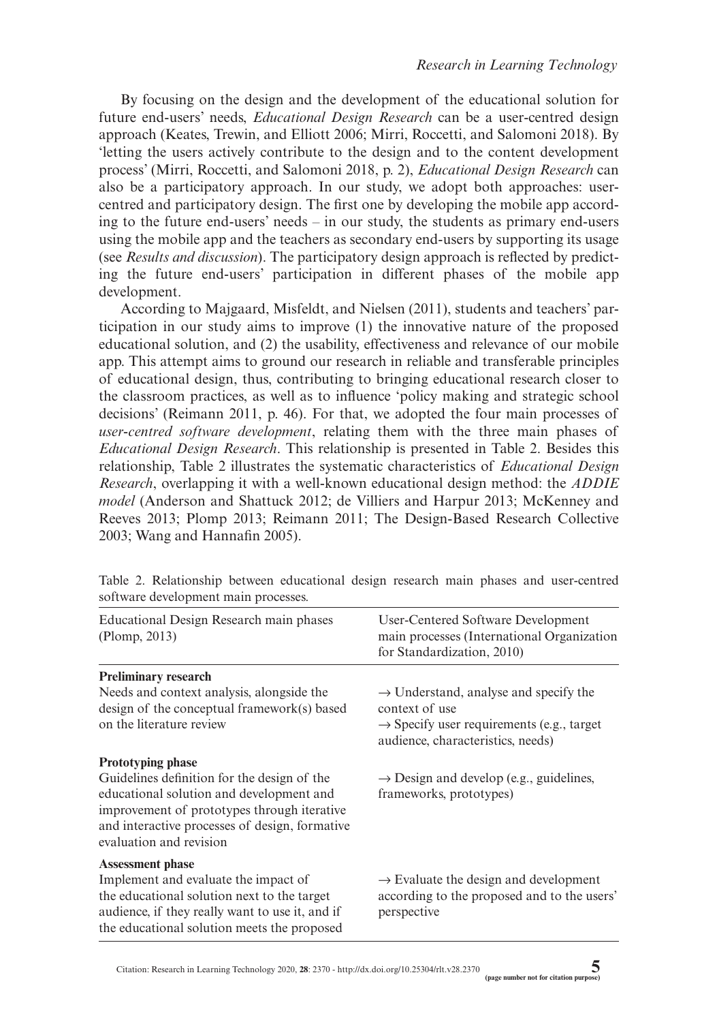By focusing on the design and the development of the educational solution for future end-users' needs, *Educational Design Research* can be a user-centred design approach (Keates, Trewin, and Elliott 2006; Mirri, Roccetti, and Salomoni 2018). By 'letting the users actively contribute to the design and to the content development process' (Mirri, Roccetti, and Salomoni 2018, p. 2), *Educational Design Research* can also be a participatory approach. In our study, we adopt both approaches: usercentred and participatory design. The first one by developing the mobile app according to the future end-users' needs – in our study, the students as primary end-users using the mobile app and the teachers as secondary end-users by supporting its usage (see *Results and discussion*). The participatory design approach is reflected by predicting the future end-users' participation in different phases of the mobile app development.

According to Majgaard, Misfeldt, and Nielsen (2011), students and teachers' participation in our study aims to improve (1) the innovative nature of the proposed educational solution, and (2) the usability, effectiveness and relevance of our mobile app. This attempt aims to ground our research in reliable and transferable principles of educational design, thus, contributing to bringing educational research closer to the classroom practices, as well as to influence 'policy making and strategic school decisions' (Reimann 2011, p. 46). For that, we adopted the four main processes of *user-centred software development*, relating them with the three main phases of *Educational Design Research*. This relationship is presented in Table 2. Besides this relationship, Table 2 illustrates the systematic characteristics of *Educational Design Research*, overlapping it with a well-known educational design method: the *ADDIE model* (Anderson and Shattuck 2012; de Villiers and Harpur 2013; McKenney and Reeves 2013; Plomp 2013; Reimann 2011; The Design-Based Research Collective 2003; Wang and Hannafin 2005).

| Educational Design Research main phases<br>(Plomp, 2013)                                                                                                                                                                                        | User-Centered Software Development<br>main processes (International Organization<br>for Standardization, 2010)                                                    |
|-------------------------------------------------------------------------------------------------------------------------------------------------------------------------------------------------------------------------------------------------|-------------------------------------------------------------------------------------------------------------------------------------------------------------------|
| <b>Preliminary research</b>                                                                                                                                                                                                                     |                                                                                                                                                                   |
| Needs and context analysis, alongside the<br>design of the conceptual framework(s) based<br>on the literature review                                                                                                                            | $\rightarrow$ Understand, analyse and specify the<br>context of use<br>$\rightarrow$ Specify user requirements (e.g., target<br>audience, characteristics, needs) |
| <b>Prototyping phase</b><br>Guidelines definition for the design of the<br>educational solution and development and<br>improvement of prototypes through iterative<br>and interactive processes of design, formative<br>evaluation and revision | $\rightarrow$ Design and develop (e.g., guidelines,<br>frameworks, prototypes)                                                                                    |
| <b>Assessment phase</b><br>Implement and evaluate the impact of<br>the educational solution next to the target<br>audience, if they really want to use it, and if<br>the educational solution meets the proposed                                | $\rightarrow$ Evaluate the design and development<br>according to the proposed and to the users'<br>perspective                                                   |

Table 2. Relationship between educational design research main phases and user-centred software development main processes.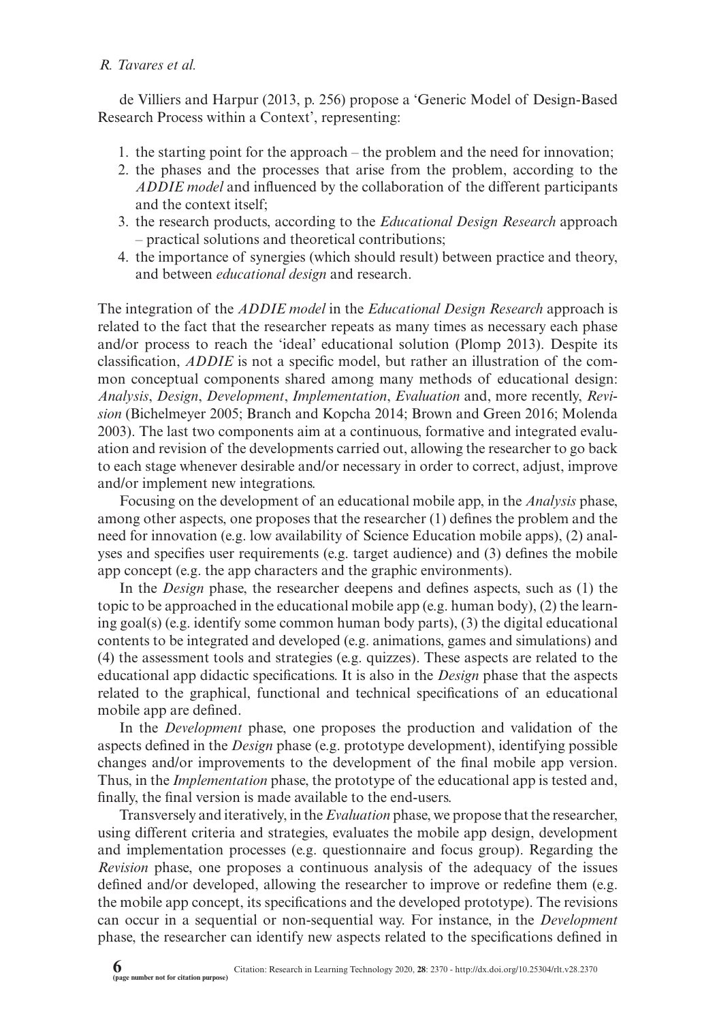de Villiers and Harpur (2013, p. 256) propose a 'Generic Model of Design-Based Research Process within a Context', representing:

- 1. the starting point for the approach the problem and the need for innovation;
- 2. the phases and the processes that arise from the problem, according to the *ADDIE model* and influenced by the collaboration of the different participants and the context itself;
- 3. the research products, according to the *Educational Design Research* approach – practical solutions and theoretical contributions;
- 4. the importance of synergies (which should result) between practice and theory, and between *educational design* and research.

The integration of the *ADDIE model* in the *Educational Design Research* approach is related to the fact that the researcher repeats as many times as necessary each phase and/or process to reach the 'ideal' educational solution (Plomp 2013). Despite its classification, *ADDIE* is not a specific model, but rather an illustration of the common conceptual components shared among many methods of educational design: *Analysis*, *Design*, *Development*, *Implementation*, *Evaluation* and, more recently, *Revision* (Bichelmeyer 2005; Branch and Kopcha 2014; Brown and Green 2016; Molenda 2003). The last two components aim at a continuous, formative and integrated evaluation and revision of the developments carried out, allowing the researcher to go back to each stage whenever desirable and/or necessary in order to correct, adjust, improve and/or implement new integrations.

Focusing on the development of an educational mobile app, in the *Analysis* phase, among other aspects, one proposes that the researcher (1) defines the problem and the need for innovation (e.g. low availability of Science Education mobile apps), (2) analyses and specifies user requirements (e.g. target audience) and (3) defines the mobile app concept (e.g. the app characters and the graphic environments).

In the *Design* phase, the researcher deepens and defines aspects, such as (1) the topic to be approached in the educational mobile app (e.g. human body), (2) the learning goal(s) (e.g. identify some common human body parts), (3) the digital educational contents to be integrated and developed (e.g. animations, games and simulations) and (4) the assessment tools and strategies (e.g. quizzes). These aspects are related to the educational app didactic specifications. It is also in the *Design* phase that the aspects related to the graphical, functional and technical specifications of an educational mobile app are defined.

In the *Development* phase, one proposes the production and validation of the aspects defined in the *Design* phase (e.g. prototype development), identifying possible changes and/or improvements to the development of the final mobile app version. Thus, in the *Implementation* phase, the prototype of the educational app is tested and, finally, the final version is made available to the end-users.

Transversely and iteratively, in the *Evaluation* phase, we propose that the researcher, using different criteria and strategies, evaluates the mobile app design, development and implementation processes (e.g. questionnaire and focus group). Regarding the *Revision* phase, one proposes a continuous analysis of the adequacy of the issues defined and/or developed, allowing the researcher to improve or redefine them (e.g. the mobile app concept, its specifications and the developed prototype). The revisions can occur in a sequential or non-sequential way. For instance, in the *Development*  phase, the researcher can identify new aspects related to the specifications defined in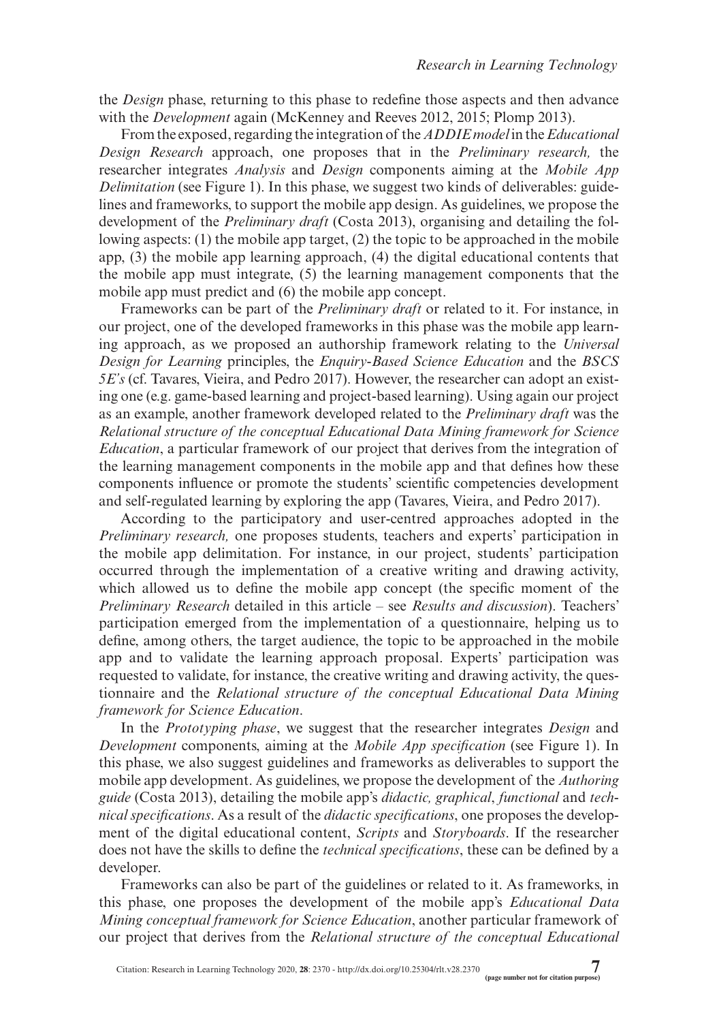the *Design* phase, returning to this phase to redefine those aspects and then advance with the *Development* again (McKenney and Reeves 2012, 2015; Plomp 2013).

From the exposed, regarding the integration of the *ADDIE model* in the *Educational Design Research* approach, one proposes that in the *Preliminary research,* the researcher integrates *Analysis* and *Design* components aiming at the *Mobile App Delimitation* (see Figure 1). In this phase, we suggest two kinds of deliverables: guidelines and frameworks, to support the mobile app design. As guidelines, we propose the development of the *Preliminary draft* (Costa 2013), organising and detailing the following aspects: (1) the mobile app target, (2) the topic to be approached in the mobile app, (3) the mobile app learning approach, (4) the digital educational contents that the mobile app must integrate, (5) the learning management components that the mobile app must predict and (6) the mobile app concept.

Frameworks can be part of the *Preliminary draft* or related to it. For instance, in our project, one of the developed frameworks in this phase was the mobile app learning approach, as we proposed an authorship framework relating to the *Universal Design for Learning* principles, the *Enquiry-Based Science Education* and the *BSCS 5E's* (cf. Tavares, Vieira, and Pedro 2017). However, the researcher can adopt an existing one (e.g. game-based learning and project-based learning). Using again our project as an example, another framework developed related to the *Preliminary draft* was the *Relational structure of the conceptual Educational Data Mining framework for Science Education*, a particular framework of our project that derives from the integration of the learning management components in the mobile app and that defines how these components influence or promote the students' scientific competencies development and self-regulated learning by exploring the app (Tavares, Vieira, and Pedro 2017).

According to the participatory and user-centred approaches adopted in the *Preliminary research,* one proposes students, teachers and experts' participation in the mobile app delimitation. For instance, in our project, students' participation occurred through the implementation of a creative writing and drawing activity, which allowed us to define the mobile app concept (the specific moment of the *Preliminary Research* detailed in this article – see *Results and discussion*). Teachers' participation emerged from the implementation of a questionnaire, helping us to define, among others, the target audience, the topic to be approached in the mobile app and to validate the learning approach proposal. Experts' participation was requested to validate, for instance, the creative writing and drawing activity, the questionnaire and the *Relational structure of the conceptual Educational Data Mining framework for Science Education*.

In the *Prototyping phase*, we suggest that the researcher integrates *Design* and *Development* components, aiming at the *Mobile App specification* (see Figure 1). In this phase, we also suggest guidelines and frameworks as deliverables to support the mobile app development. As guidelines, we propose the development of the *Authoring guide* (Costa 2013), detailing the mobile app's *didactic, graphical*, *functional* and *technical specifications*. As a result of the *didactic specifications*, one proposes the development of the digital educational content, *Scripts* and *Storyboards*. If the researcher does not have the skills to define the *technical specifications*, these can be defined by a developer.

Frameworks can also be part of the guidelines or related to it. As frameworks, in this phase, one proposes the development of the mobile app's *Educational Data Mining conceptual framework for Science Education*, another particular framework of our project that derives from the *Relational structure of the conceptual Educational*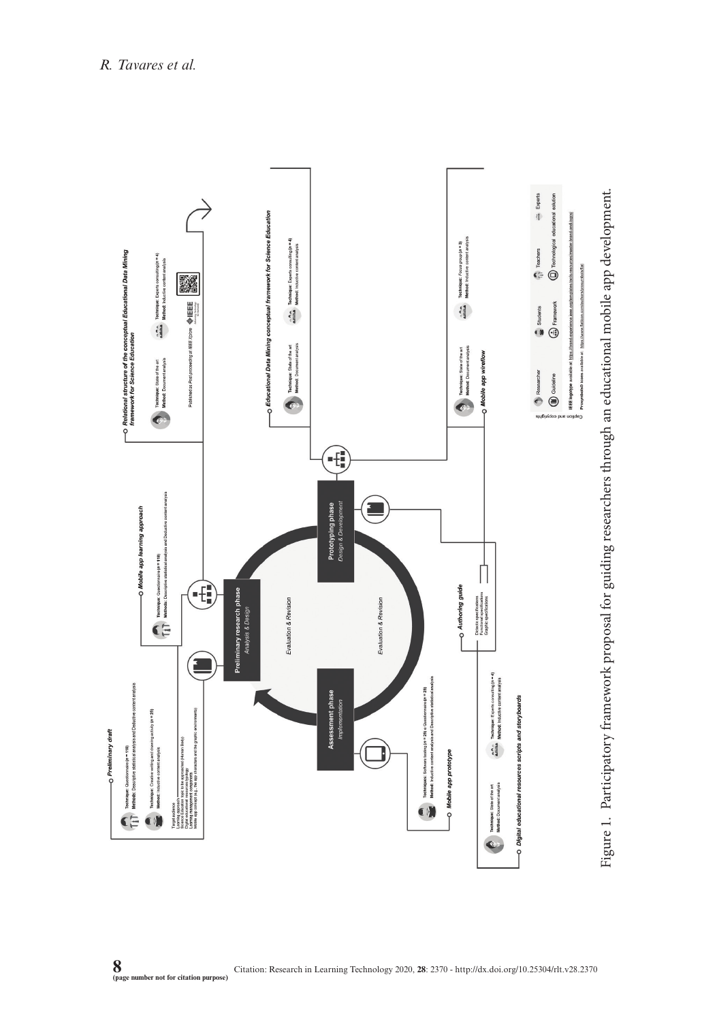

Figure 1. Participatory framework proposal for guiding researchers through an educational mobile app development. Figure 1. Participatory framework proposal for guiding researchers through an educational mobile app development.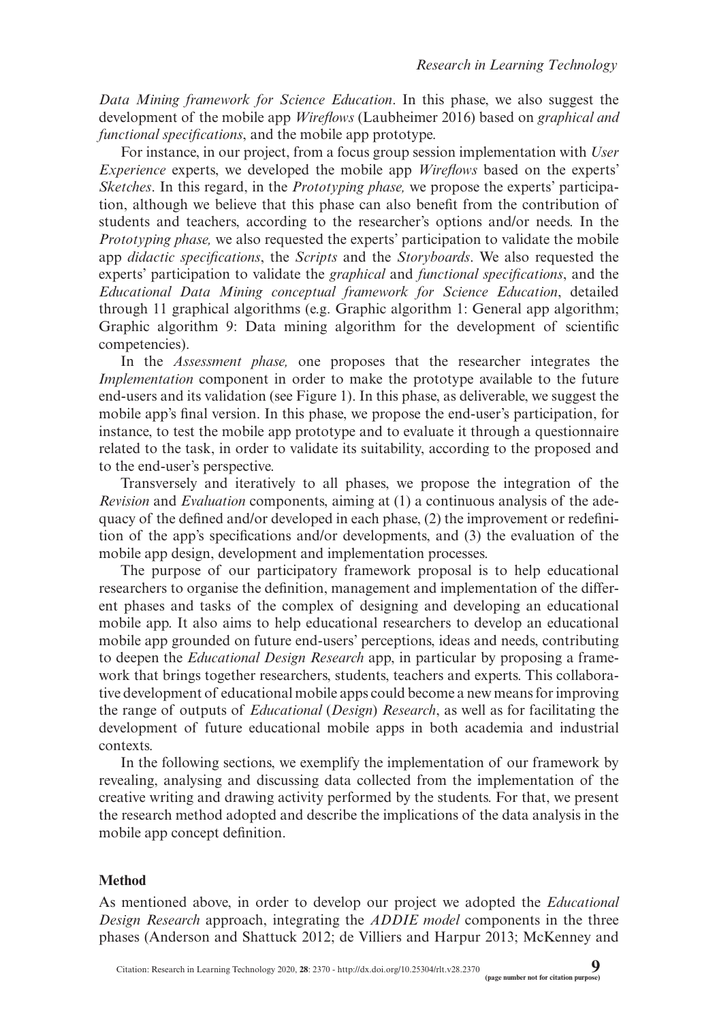*Data Mining framework for Science Education*. In this phase, we also suggest the development of the mobile app *Wireflows* (Laubheimer 2016) based on *graphical and functional specifications*, and the mobile app prototype.

For instance, in our project, from a focus group session implementation with *User Experience* experts, we developed the mobile app *Wireflows* based on the experts' *Sketches*. In this regard, in the *Prototyping phase,* we propose the experts' participation, although we believe that this phase can also benefit from the contribution of students and teachers, according to the researcher's options and/or needs. In the *Prototyping phase,* we also requested the experts' participation to validate the mobile app *didactic specifications*, the *Scripts* and the *Storyboards*. We also requested the experts' participation to validate the *graphical* and *functional specifications*, and the *Educational Data Mining conceptual framework for Science Education*, detailed through 11 graphical algorithms (e.g. Graphic algorithm 1: General app algorithm; Graphic algorithm 9: Data mining algorithm for the development of scientific competencies).

In the *Assessment phase,* one proposes that the researcher integrates the *Implementation* component in order to make the prototype available to the future end-users and its validation (see Figure 1). In this phase, as deliverable, we suggest the mobile app's final version. In this phase, we propose the end-user's participation, for instance, to test the mobile app prototype and to evaluate it through a questionnaire related to the task, in order to validate its suitability, according to the proposed and to the end-user's perspective.

Transversely and iteratively to all phases, we propose the integration of the *Revision* and *Evaluation* components, aiming at (1) a continuous analysis of the adequacy of the defined and/or developed in each phase, (2) the improvement or redefinition of the app's specifications and/or developments, and (3) the evaluation of the mobile app design, development and implementation processes.

The purpose of our participatory framework proposal is to help educational researchers to organise the definition, management and implementation of the different phases and tasks of the complex of designing and developing an educational mobile app. It also aims to help educational researchers to develop an educational mobile app grounded on future end-users' perceptions, ideas and needs, contributing to deepen the *Educational Design Research* app, in particular by proposing a framework that brings together researchers, students, teachers and experts. This collaborative development of educational mobile apps could become a new means for improving the range of outputs of *Educational* (*Design*) *Research*, as well as for facilitating the development of future educational mobile apps in both academia and industrial contexts.

In the following sections, we exemplify the implementation of our framework by revealing, analysing and discussing data collected from the implementation of the creative writing and drawing activity performed by the students. For that, we present the research method adopted and describe the implications of the data analysis in the mobile app concept definition.

### **Method**

As mentioned above, in order to develop our project we adopted the *Educational Design Research* approach, integrating the *ADDIE model* components in the three phases (Anderson and Shattuck 2012; de Villiers and Harpur 2013; McKenney and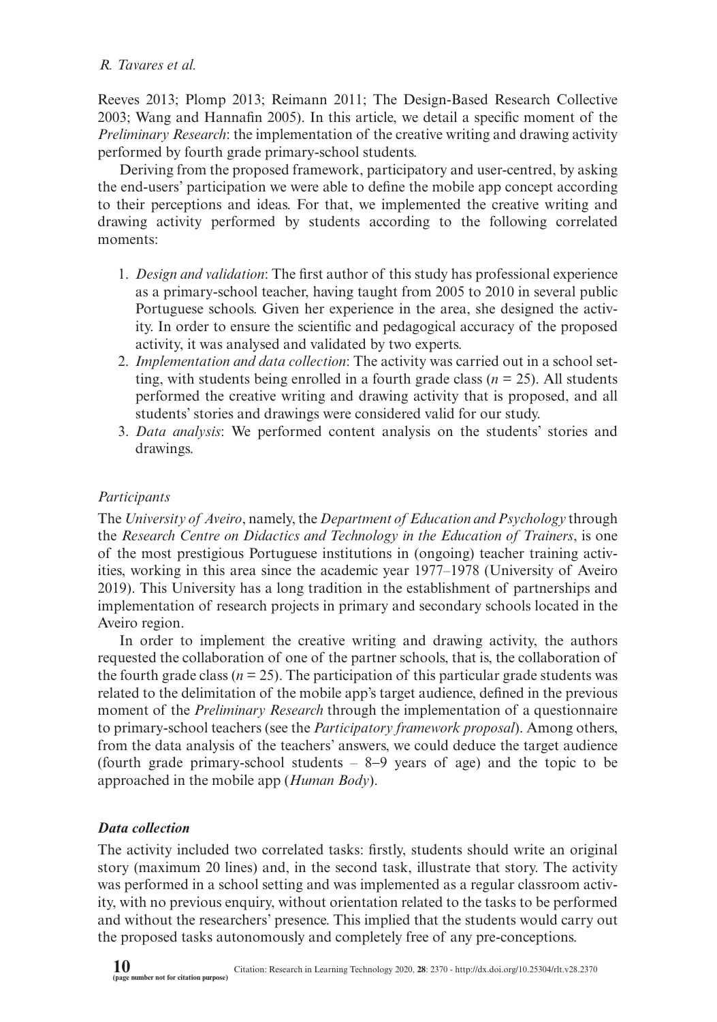Reeves 2013; Plomp 2013; Reimann 2011; The Design-Based Research Collective 2003; Wang and Hannafin 2005). In this article, we detail a specific moment of the *Preliminary Research*: the implementation of the creative writing and drawing activity performed by fourth grade primary-school students.

Deriving from the proposed framework, participatory and user-centred, by asking the end-users' participation we were able to define the mobile app concept according to their perceptions and ideas. For that, we implemented the creative writing and drawing activity performed by students according to the following correlated moments:

- 1. *Design and validation*: The first author of this study has professional experience as a primary-school teacher, having taught from 2005 to 2010 in several public Portuguese schools. Given her experience in the area, she designed the activity. In order to ensure the scientific and pedagogical accuracy of the proposed activity, it was analysed and validated by two experts.
- 2. *Implementation and data collection*: The activity was carried out in a school setting, with students being enrolled in a fourth grade class (*n* = 25). All students performed the creative writing and drawing activity that is proposed, and all students' stories and drawings were considered valid for our study.
- 3. *Data analysis*: We performed content analysis on the students' stories and drawings.

# *Participants*

The *University of Aveiro*, namely, the *Department of Education and Psychology* through the *Research Centre on Didactics and Technology in the Education of Trainers*, is one of the most prestigious Portuguese institutions in (ongoing) teacher training activities, working in this area since the academic year 1977–1978 (University of Aveiro 2019). This University has a long tradition in the establishment of partnerships and implementation of research projects in primary and secondary schools located in the Aveiro region.

In order to implement the creative writing and drawing activity, the authors requested the collaboration of one of the partner schools, that is, the collaboration of the fourth grade class ( $n = 25$ ). The participation of this particular grade students was related to the delimitation of the mobile app's target audience, defined in the previous moment of the *Preliminary Research* through the implementation of a questionnaire to primary-school teachers (see the *Participatory framework proposal*). Among others, from the data analysis of the teachers' answers, we could deduce the target audience (fourth grade primary-school students  $-8-9$  years of age) and the topic to be approached in the mobile app (*Human Body*).

## *Data collection*

The activity included two correlated tasks: firstly, students should write an original story (maximum 20 lines) and, in the second task, illustrate that story. The activity was performed in a school setting and was implemented as a regular classroom activity, with no previous enquiry, without orientation related to the tasks to be performed and without the researchers' presence. This implied that the students would carry out the proposed tasks autonomously and completely free of any pre-conceptions.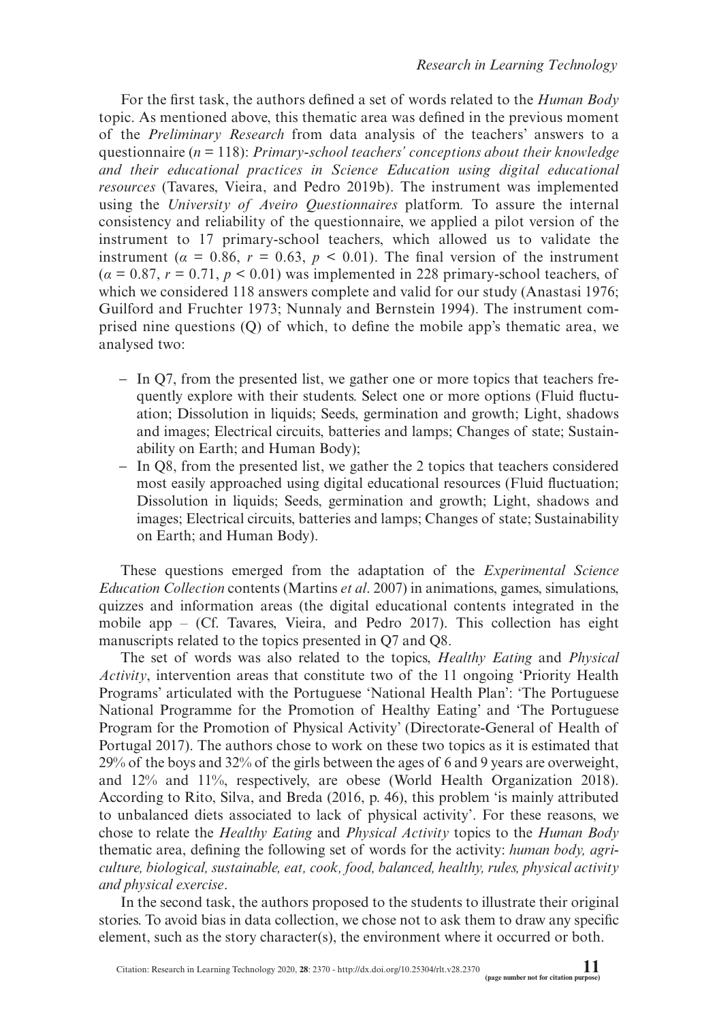For the first task, the authors defined a set of words related to the *Human Body* topic. As mentioned above, this thematic area was defined in the previous moment of the *Preliminary Research* from data analysis of the teachers' answers to a questionnaire (*n* = 118): *Primary-school teachers' conceptions about their knowledge and their educational practices in Science Education using digital educational resources* (Tavares, Vieira, and Pedro 2019b). The instrument was implemented using the *University of Aveiro Questionnaires* platform*.* To assure the internal consistency and reliability of the questionnaire, we applied a pilot version of the instrument to 17 primary-school teachers, which allowed us to validate the instrument ( $\alpha = 0.86$ ,  $r = 0.63$ ,  $p < 0.01$ ). The final version of the instrument  $(a = 0.87, r = 0.71, p < 0.01)$  was implemented in 228 primary-school teachers, of which we considered 118 answers complete and valid for our study (Anastasi 1976; Guilford and Fruchter 1973; Nunnaly and Bernstein 1994). The instrument comprised nine questions (Q) of which, to define the mobile app's thematic area, we analysed two:

- − In Q7, from the presented list, we gather one or more topics that teachers frequently explore with their students. Select one or more options (Fluid fluctuation; Dissolution in liquids; Seeds, germination and growth; Light, shadows and images; Electrical circuits, batteries and lamps; Changes of state; Sustainability on Earth; and Human Body);
- − In Q8, from the presented list, we gather the 2 topics that teachers considered most easily approached using digital educational resources (Fluid fluctuation; Dissolution in liquids; Seeds, germination and growth; Light, shadows and images; Electrical circuits, batteries and lamps; Changes of state; Sustainability on Earth; and Human Body).

These questions emerged from the adaptation of the *Experimental Science Education Collection* contents (Martins *et al*. 2007) in animations, games, simulations, quizzes and information areas (the digital educational contents integrated in the mobile app  $-$  (Cf. Tavares, Vieira, and Pedro 2017). This collection has eight manuscripts related to the topics presented in Q7 and Q8.

The set of words was also related to the topics, *Healthy Eating* and *Physical Activity*, intervention areas that constitute two of the 11 ongoing 'Priority Health Programs' articulated with the Portuguese 'National Health Plan': 'The Portuguese National Programme for the Promotion of Healthy Eating' and 'The Portuguese Program for the Promotion of Physical Activity' (Directorate-General of Health of Portugal 2017). The authors chose to work on these two topics as it is estimated that 29% of the boys and 32% of the girls between the ages of 6 and 9 years are overweight, and 12% and 11%, respectively, are obese (World Health Organization 2018). According to Rito, Silva, and Breda (2016, p. 46), this problem 'is mainly attributed to unbalanced diets associated to lack of physical activity'. For these reasons, we chose to relate the *Healthy Eating* and *Physical Activity* topics to the *Human Body* thematic area, defining the following set of words for the activity: *human body, agriculture, biological, sustainable, eat, cook, food, balanced, healthy, rules, physical activity and physical exercise*.

In the second task, the authors proposed to the students to illustrate their original stories. To avoid bias in data collection, we chose not to ask them to draw any specific element, such as the story character(s), the environment where it occurred or both.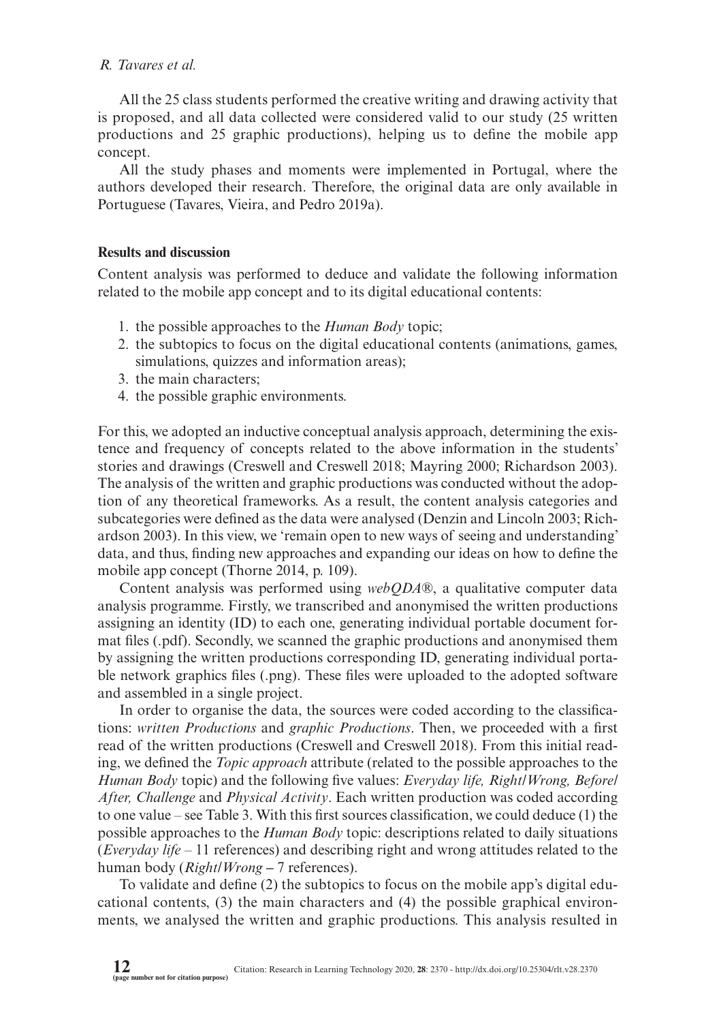All the 25 class students performed the creative writing and drawing activity that is proposed, and all data collected were considered valid to our study (25 written productions and 25 graphic productions), helping us to define the mobile app concept.

All the study phases and moments were implemented in Portugal, where the authors developed their research. Therefore, the original data are only available in Portuguese (Tavares, Vieira, and Pedro 2019a).

### **Results and discussion**

Content analysis was performed to deduce and validate the following information related to the mobile app concept and to its digital educational contents:

- 1. the possible approaches to the *Human Body* topic;
- 2. the subtopics to focus on the digital educational contents (animations, games, simulations, quizzes and information areas);
- 3. the main characters;
- 4. the possible graphic environments.

For this, we adopted an inductive conceptual analysis approach, determining the existence and frequency of concepts related to the above information in the students' stories and drawings (Creswell and Creswell 2018; Mayring 2000; Richardson 2003). The analysis of the written and graphic productions was conducted without the adoption of any theoretical frameworks. As a result, the content analysis categories and subcategories were defined as the data were analysed (Denzin and Lincoln 2003; Richardson 2003). In this view, we 'remain open to new ways of seeing and understanding' data, and thus, finding new approaches and expanding our ideas on how to define the mobile app concept (Thorne 2014, p. 109).

Content analysis was performed using *webQDA*®, a qualitative computer data analysis programme. Firstly, we transcribed and anonymised the written productions assigning an identity (ID) to each one, generating individual portable document format files (.pdf). Secondly, we scanned the graphic productions and anonymised them by assigning the written productions corresponding ID, generating individual portable network graphics files (.png). These files were uploaded to the adopted software and assembled in a single project.

In order to organise the data, the sources were coded according to the classifications: *written Productions* and *graphic Productions*. Then, we proceeded with a first read of the written productions (Creswell and Creswell 2018). From this initial reading, we defined the *Topic approach* attribute (related to the possible approaches to the *Human Body* topic) and the following five values: *Everyday life, Right/Wrong, Before/ After, Challenge* and *Physical Activity*. Each written production was coded according to one value – see Table 3. With this first sources classification, we could deduce (1) the possible approaches to the *Human Body* topic: descriptions related to daily situations (*Everyday life* – 11 references) and describing right and wrong attitudes related to the human body (*Right/Wrong* – 7 references).

To validate and define (2) the subtopics to focus on the mobile app's digital educational contents, (3) the main characters and (4) the possible graphical environments, we analysed the written and graphic productions. This analysis resulted in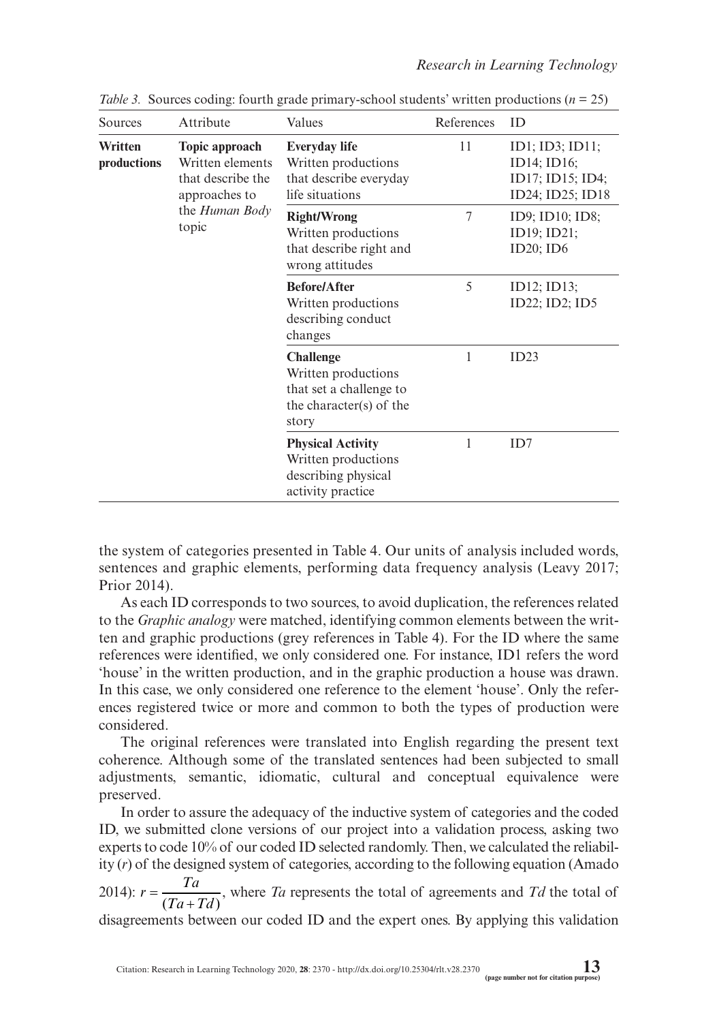| Sources                | Attribute                                                                | Values                                                                                                 | References     | ID                                                                     |
|------------------------|--------------------------------------------------------------------------|--------------------------------------------------------------------------------------------------------|----------------|------------------------------------------------------------------------|
| Written<br>productions | Topic approach<br>Written elements<br>that describe the<br>approaches to | <b>Everyday life</b><br>Written productions<br>that describe everyday<br>life situations               | 11             | ID1; ID3; ID11;<br>ID14; ID16;<br>ID17; ID15; ID4;<br>ID24; ID25; ID18 |
|                        | the <i>Human Body</i><br>topic                                           | <b>Right/Wrong</b><br>Written productions<br>that describe right and<br>wrong attitudes                | $\overline{7}$ | ID9; ID10; ID8;<br>ID19; ID21;<br>$ID20$ ; $ID6$                       |
|                        |                                                                          | <b>Before/After</b><br>Written productions<br>describing conduct<br>changes                            | 5              | ID12; ID13;<br>ID22; ID2; ID5                                          |
|                        |                                                                          | <b>Challenge</b><br>Written productions<br>that set a challenge to<br>the character(s) of the<br>story | 1              | ID23                                                                   |
|                        |                                                                          | <b>Physical Activity</b><br>Written productions<br>describing physical<br>activity practice            | 1              | ID <sub>7</sub>                                                        |

*Table 3.* Sources coding: fourth grade primary-school students' written productions ( $n = 25$ )

the system of categories presented in Table 4. Our units of analysis included words, sentences and graphic elements, performing data frequency analysis (Leavy 2017; Prior 2014).

As each ID corresponds to two sources, to avoid duplication, the references related to the *Graphic analogy* were matched, identifying common elements between the written and graphic productions (grey references in Table 4). For the ID where the same references were identified, we only considered one. For instance, ID1 refers the word 'house' in the written production, and in the graphic production a house was drawn. In this case, we only considered one reference to the element 'house'. Only the references registered twice or more and common to both the types of production were considered.

The original references were translated into English regarding the present text coherence. Although some of the translated sentences had been subjected to small adjustments, semantic, idiomatic, cultural and conceptual equivalence were preserved.

In order to assure the adequacy of the inductive system of categories and the coded ID, we submitted clone versions of our project into a validation process, asking two experts to code 10% of our coded ID selected randomly. Then, we calculated the reliability (*r*) of the designed system of categories, according to the following equation (Amado

2014):  $r = \frac{Ta}{(Ta+Td)}$ , where *Ta* represents the total of agreements and *Td* the total of

disagreements between our coded ID and the expert ones. By applying this validation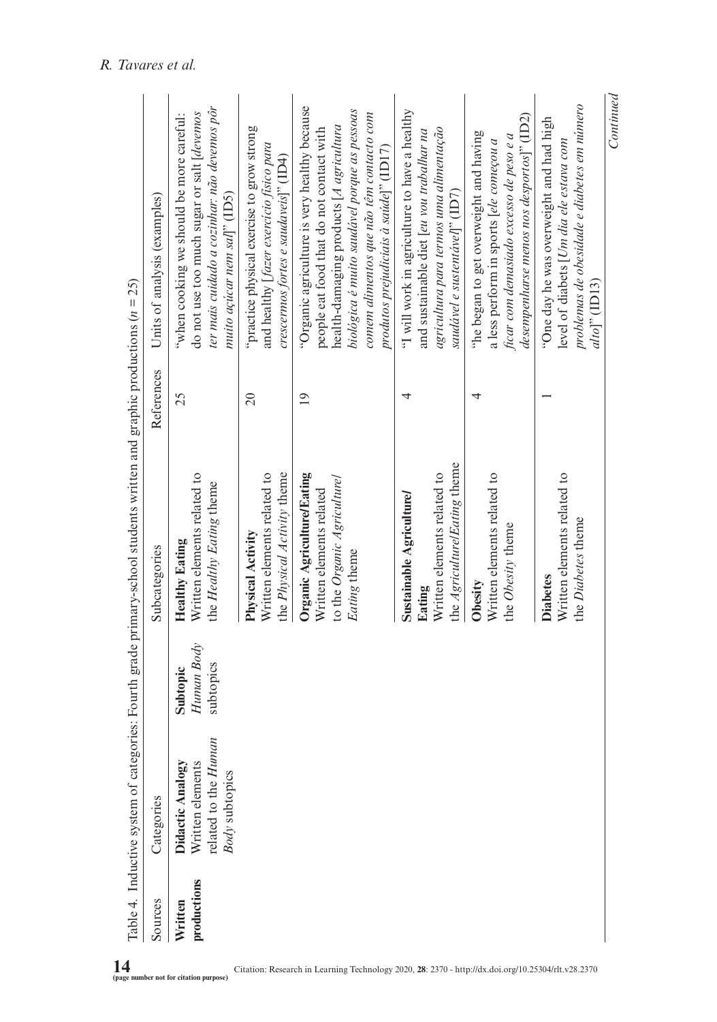| Sources                | Categories                                                                     |                                     | Subcategories                                                                                                   | References      | Units of analysis (examples)                                                                                                                                                                                                                                              |
|------------------------|--------------------------------------------------------------------------------|-------------------------------------|-----------------------------------------------------------------------------------------------------------------|-----------------|---------------------------------------------------------------------------------------------------------------------------------------------------------------------------------------------------------------------------------------------------------------------------|
| productions<br>Written | related to the Human<br>Written elements<br>Didactic Analogy<br>Body subtopics | Human Body<br>subtopics<br>Subtopic | Written elements related to<br>the Healthy Eating theme<br><b>Healthy Eating</b>                                | 25              | ter mais cuidado a cozinhar: não devemos pôr<br>do not use too much sugar or salt [deventos<br>"when cooking we should be more careful:<br>muito açúcar nem sal]" (ID5)                                                                                                   |
|                        |                                                                                |                                     | Written elements related to<br>the Physical Activity theme<br>Physical Activity                                 | $\Omega$        | "practice physical exercise to grow strong<br>and healthy [fazer exercicio físico para<br>crescermos fortes e saudaveis]" (ID4)                                                                                                                                           |
|                        |                                                                                |                                     | Organic Agriculture/Eating<br>to the Organic Agriculturel<br>Written elements related<br>Eating theme           | $\overline{19}$ | "Organic agriculture is very healthy because<br>biológica é muito saudável porque as pessoas<br>comem alimentos que não têm contacto com<br>health-damaging products [A agricultura<br>people eat food that do not contact with<br>produtos prejudiciais à saúde]" (ID17) |
|                        |                                                                                |                                     | the <i>Agriculture/Eating</i> theme<br>Written elements related to<br><b>Sustainable Agriculture/</b><br>Eating | 4               | "I will work in agriculture to have a healthy<br>agricultura para termos uma alimentação<br>and sustainable diet [eu vou trabalhar na<br>saudável e sustentável]" (ID7)                                                                                                   |
|                        |                                                                                |                                     | Written elements related to<br>the Obesity theme<br>Obesity                                                     | 4               | desempenharse menos nos desportos]' (ID2)<br>the began to get overweight and having<br>ficar com demasiado excesso de peso e a<br>a less perform in sports [ele começou a                                                                                                 |
|                        |                                                                                |                                     | Written elements related to<br>the Diabetes theme<br><b>Diabetes</b>                                            |                 | problemas de obesidade e diabetes em número<br>"One day he was overweight and had high<br>level of diabets [Um dia ele estava com<br>$alto$ <sup>"</sup> (ID13)                                                                                                           |

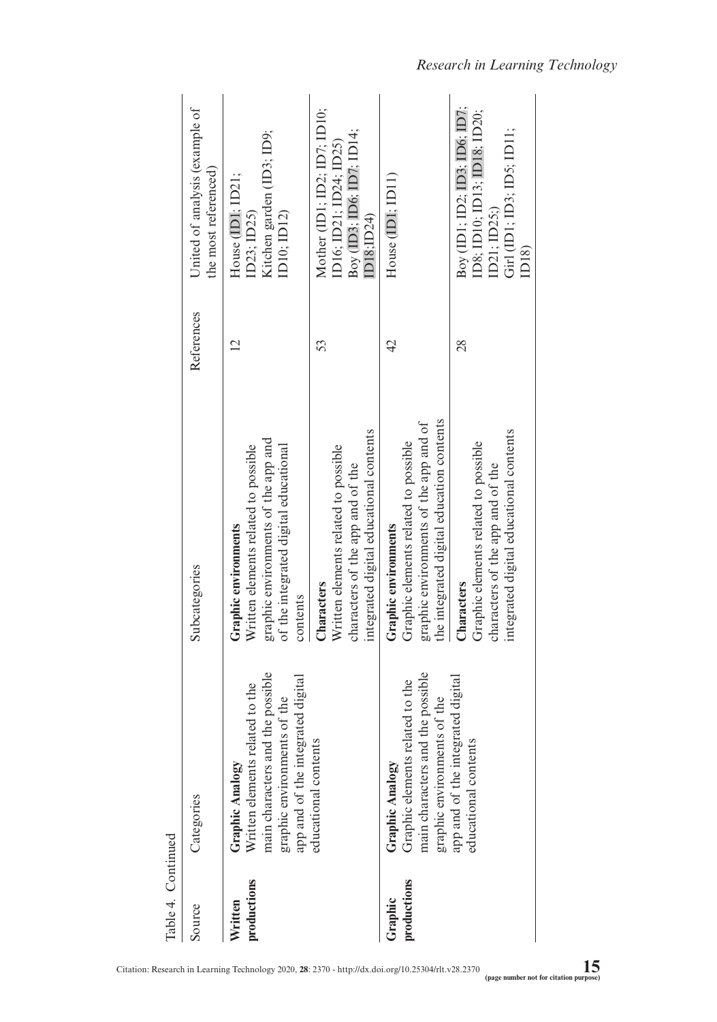| Table 4. Continued     |                                                                                                                                                            |                                                                                                                                                          |                |                                                                                                                              |
|------------------------|------------------------------------------------------------------------------------------------------------------------------------------------------------|----------------------------------------------------------------------------------------------------------------------------------------------------------|----------------|------------------------------------------------------------------------------------------------------------------------------|
| Source                 | Categories                                                                                                                                                 | Subcategories                                                                                                                                            | References     | United of analysis (example of<br>the most referenced)                                                                       |
| productions<br>Written | main characters and the possible<br>app and of the integrated digital<br>Written elements related to the<br>graphic environments of the<br>Graphic Analogy | graphic environments of the app and<br>Written elements related to possible<br>of the integrated digital educational<br>Graphic environments<br>contents | $\overline{2}$ | Kitchen garden (ID3; ID9;<br>House (IDI; ID21;<br>ID10; ID12)<br>ID23; ID25)                                                 |
|                        | educational contents                                                                                                                                       | integrated digital educational contents<br>Written elements related to possible<br>characters of the app and of the<br>Characters                        | 53             | Mother (ID1; ID2; ID7; ID10;<br>Boy (ID3; ID6; ID7; ID14;<br>ID16; ID21; ID24; ID25)<br>ID18;ID24)                           |
| productions<br>Graphic | main characters and the possible<br>Graphic elements related to the<br>graphic environments of the<br>Graphic Analogy                                      | the integrated digital education contents<br>graphic environments of the app and of<br>Graphic elements related to possible<br>Graphic environments      | $\overline{4}$ | House $(D1; D11)$                                                                                                            |
|                        | app and of the integrated digital<br>educational contents                                                                                                  | integrated digital educational contents<br>Graphic elements related to possible<br>characters of the app and of the<br>Characters                        | $\frac{8}{2}$  | $\text{Boy}$ (ID1; ID2; ID3; ID6; ID7;<br>ID8; ID10; ID13; ID18; ID20;<br>Girl (ID1; ID3; ID5; ID11;<br>ID21; ID25;)<br>ID18 |

*Research in Learning Technology*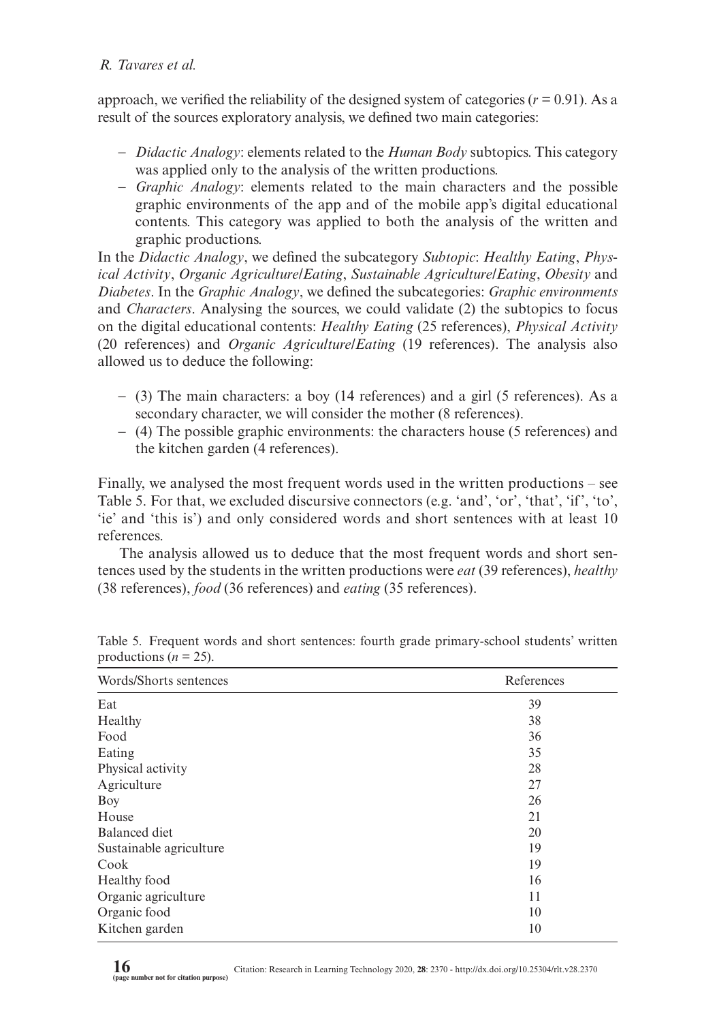approach, we verified the reliability of the designed system of categories  $(r = 0.91)$ . As a result of the sources exploratory analysis, we defined two main categories:

- − *Didactic Analogy*: elements related to the *Human Body* subtopics. This category was applied only to the analysis of the written productions.
- − *Graphic Analogy*: elements related to the main characters and the possible graphic environments of the app and of the mobile app's digital educational contents. This category was applied to both the analysis of the written and graphic productions.

In the *Didactic Analogy*, we defined the subcategory *Subtopic*: *Healthy Eating*, *Physical Activity*, *Organic Agriculture/Eating*, *Sustainable Agriculture/Eating*, *Obesity* and *Diabetes*. In the *Graphic Analogy*, we defined the subcategories: *Graphic environments* and *Characters*. Analysing the sources, we could validate (2) the subtopics to focus on the digital educational contents: *Healthy Eating* (25 references), *Physical Activity* (20 references) and *Organic Agriculture/Eating* (19 references). The analysis also allowed us to deduce the following:

- − (3) The main characters: a boy (14 references) and a girl (5 references). As a secondary character, we will consider the mother (8 references).
- − (4) The possible graphic environments: the characters house (5 references) and the kitchen garden (4 references).

Finally, we analysed the most frequent words used in the written productions – see Table 5. For that, we excluded discursive connectors (e.g. 'and', 'or', 'that', 'if', 'to', 'ie' and 'this is') and only considered words and short sentences with at least 10 references.

The analysis allowed us to deduce that the most frequent words and short sentences used by the students in the written productions were *eat* (39 references), *healthy* (38 references), *food* (36 references) and *eating* (35 references).

| Words/Shorts sentences  | References |
|-------------------------|------------|
| Eat                     | 39         |
| Healthy                 | 38         |
| Food                    | 36         |
| Eating                  | 35         |
| Physical activity       | 28         |
| Agriculture             | 27         |
| Boy                     | 26         |
| House                   | 21         |
| Balanced diet           | 20         |
| Sustainable agriculture | 19         |
| Cook                    | 19         |
| Healthy food            | 16         |
| Organic agriculture     | 11         |
| Organic food            | 10         |
| Kitchen garden          | 10         |

Table 5. Frequent words and short sentences: fourth grade primary-school students' written productions ( $n = 25$ ).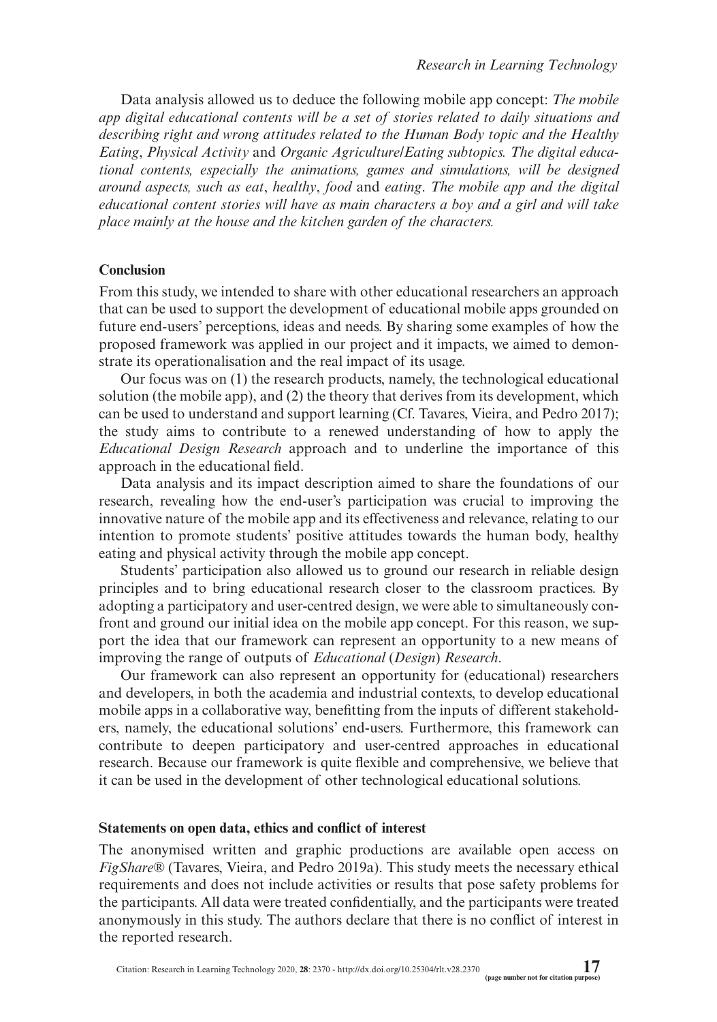Data analysis allowed us to deduce the following mobile app concept: *The mobile app digital educational contents will be a set of stories related to daily situations and describing right and wrong attitudes related to the Human Body topic and the Healthy Eating*, *Physical Activity* and *Organic Agriculture/Eating subtopics. The digital educational contents, especially the animations, games and simulations, will be designed around aspects, such as eat*, *healthy*, *food* and *eating*. *The mobile app and the digital educational content stories will have as main characters a boy and a girl and will take place mainly at the house and the kitchen garden of the characters.*

### **Conclusion**

From this study, we intended to share with other educational researchers an approach that can be used to support the development of educational mobile apps grounded on future end-users' perceptions, ideas and needs. By sharing some examples of how the proposed framework was applied in our project and it impacts, we aimed to demonstrate its operationalisation and the real impact of its usage.

Our focus was on (1) the research products, namely, the technological educational solution (the mobile app), and (2) the theory that derives from its development, which can be used to understand and support learning (Cf. Tavares, Vieira, and Pedro 2017); the study aims to contribute to a renewed understanding of how to apply the *Educational Design Research* approach and to underline the importance of this approach in the educational field.

Data analysis and its impact description aimed to share the foundations of our research, revealing how the end-user's participation was crucial to improving the innovative nature of the mobile app and its effectiveness and relevance, relating to our intention to promote students' positive attitudes towards the human body, healthy eating and physical activity through the mobile app concept.

Students' participation also allowed us to ground our research in reliable design principles and to bring educational research closer to the classroom practices. By adopting a participatory and user-centred design, we were able to simultaneously confront and ground our initial idea on the mobile app concept. For this reason, we support the idea that our framework can represent an opportunity to a new means of improving the range of outputs of *Educational* (*Design*) *Research*.

Our framework can also represent an opportunity for (educational) researchers and developers, in both the academia and industrial contexts, to develop educational mobile apps in a collaborative way, benefitting from the inputs of different stakeholders, namely, the educational solutions' end-users. Furthermore, this framework can contribute to deepen participatory and user-centred approaches in educational research. Because our framework is quite flexible and comprehensive, we believe that it can be used in the development of other technological educational solutions.

#### **Statements on open data, ethics and conflict of interest**

The anonymised written and graphic productions are available open access on *FigShare*® (Tavares, Vieira, and Pedro 2019a). This study meets the necessary ethical requirements and does not include activities or results that pose safety problems for the participants. All data were treated confidentially, and the participants were treated anonymously in this study. The authors declare that there is no conflict of interest in the reported research.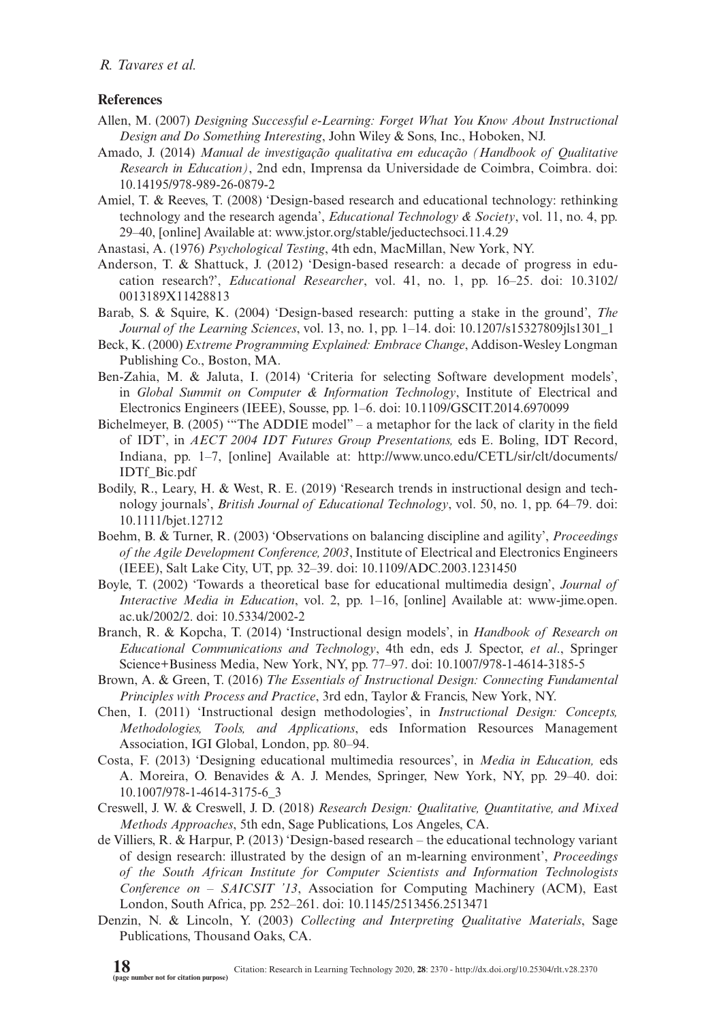### **References**

- Allen, M. (2007) *Designing Successful e-Learning: Forget What You Know About Instructional Design and Do Something Interesting*, John Wiley & Sons, Inc., Hoboken, NJ.
- Amado, J. (2014) *Manual de investigação qualitativa em educação (Handbook of Qualitative Research in Education)*, 2nd edn, Imprensa da Universidade de Coimbra, Coimbra. doi: [10.14195/978-989-26-0879-2](http://dx.doi.org/10.14195/978-989-26-0879-2)
- Amiel, T. & Reeves, T. (2008) 'Design-based research and educational technology: rethinking technology and the research agenda', *Educational Technology & Society*, vol. 11, no. 4, pp. 29–40, [online] Available at:<www.jstor.org/stable/jeductechsoci.11.4.29>
- Anastasi, A. (1976) *Psychological Testing*, 4th edn, MacMillan, New York, NY.
- Anderson, T. & Shattuck, J. (2012) 'Design-based research: a decade of progress in education research?', *Educational Researcher*, vol. 41, no. 1, pp. 16–25. doi: [10.3102/](http://dx.doi.org/10.3102/0013189X11428813 ) [0013189X11428813](http://dx.doi.org/10.3102/0013189X11428813 )
- Barab, S. & Squire, K. (2004) 'Design-based research: putting a stake in the ground', *The Journal of the Learning Sciences*, vol. 13, no. 1, pp. 1–14. doi: [10.1207/s15327809jls1301\\_1](http://dx.doi.org/10.1207/s15327809jls1301_1)
- Beck, K. (2000) *Extreme Programming Explained: Embrace Change*, Addison-Wesley Longman Publishing Co., Boston, MA.
- Ben-Zahia, M. & Jaluta, I. (2014) 'Criteria for selecting Software development models', in *Global Summit on Computer & Information Technology*, Institute of Electrical and Electronics Engineers (IEEE), Sousse, pp. 1–6. doi: [10.1109/GSCIT.2014.6970099](http://dx.doi.org/10.1109/GSCIT.2014.6970099)
- Bichelmeyer, B. (2005) '"The ADDIE model" a metaphor for the lack of clarity in the field of IDT', in *AECT 2004 IDT Futures Group Presentations,* eds E. Boling, IDT Record, Indiana, pp. 1–7, [online] Available at: [http://www.unco.edu/CETL/sir/clt/documents/](http://www.unco.edu/CETL/sir/clt/documents/IDTf_Bic.pdf) [IDTf\\_Bic.pdf](http://www.unco.edu/CETL/sir/clt/documents/IDTf_Bic.pdf)
- Bodily, R., Leary, H. & West, R. E. (2019) 'Research trends in instructional design and technology journals', *British Journal of Educational Technology*, vol. 50, no. 1, pp. 64–79. doi: [10.1111/bjet.12712](http://dx.doi.org/10.1111/bjet.12712)
- Boehm, B. & Turner, R. (2003) 'Observations on balancing discipline and agility', *Proceedings of the Agile Development Conference, 2003*, Institute of Electrical and Electronics Engineers (IEEE), Salt Lake City, UT, pp. 32–39. doi: [10.1109/ADC.2003.1231450](http://dx.doi.org/10.1109/ADC.2003.1231450)
- Boyle, T. (2002) 'Towards a theoretical base for educational multimedia design', *Journal of Interactive Media in Education*, vol. 2, pp. 1–16, [online] Available at: [www-jime.open.](www-jime.open.ac.uk/2002/2) [ac.uk/2002/2.](www-jime.open.ac.uk/2002/2) doi: [10.5334/2002-2](http://dx.doi.org/10.5334/2002-2)
- Branch, R. & Kopcha, T. (2014) 'Instructional design models', in *Handbook of Research on Educational Communications and Technology*, 4th edn, eds J. Spector, *et al*., Springer Science+Business Media, New York, NY, pp. 77–97. doi: [10.1007/978-1-4614-3185-5](http://dx.doi.org/10.1007/978-1-4614-3185-5)
- Brown, A. & Green, T. (2016) *The Essentials of Instructional Design: Connecting Fundamental Principles with Process and Practice*, 3rd edn, Taylor & Francis, New York, NY.
- Chen, I. (2011) 'Instructional design methodologies', in *Instructional Design: Concepts, Methodologies, Tools, and Applications*, eds Information Resources Management Association, IGI Global, London, pp. 80–94.
- Costa, F. (2013) 'Designing educational multimedia resources', in *Media in Education,* eds A. Moreira, O. Benavides & A. J. Mendes, Springer, New York, NY, pp. 29–40. doi: [10.1007/978-1-4614-3175-6\\_3](http://dx.doi.org/10.1007/978-1-4614-3175-6_3)
- Creswell, J. W. & Creswell, J. D. (2018) *Research Design: Qualitative, Quantitative, and Mixed Methods Approaches*, 5th edn, Sage Publications, Los Angeles, CA.
- de Villiers, R. & Harpur, P. (2013) 'Design-based research the educational technology variant of design research: illustrated by the design of an m-learning environment', *Proceedings of the South African Institute for Computer Scientists and Information Technologists Conference on – SAICSIT '13*, Association for Computing Machinery (ACM), East London, South Africa, pp. 252–261. doi: [10.1145/2513456.2513471](http://dx.doi.org/10.1145/2513456.2513471)
- Denzin, N. & Lincoln, Y. (2003) *Collecting and Interpreting Qualitative Materials*, Sage Publications, Thousand Oaks, CA.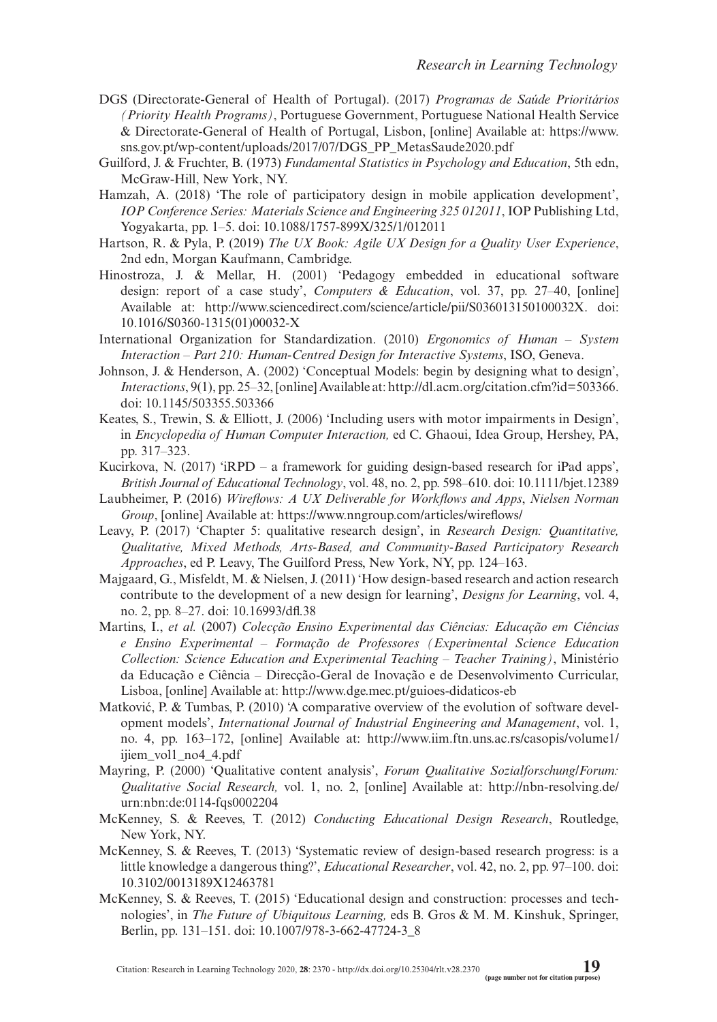- DGS (Directorate-General of Health of Portugal). (2017) *Programas de Saúde Prioritários (Priority Health Programs)*, Portuguese Government, Portuguese National Health Service & Directorate-General of Health of Portugal, Lisbon, [online] Available at: [https://www.](https://www.sns.gov.pt/wp-content/uploads/2017/07/DGS_PP_MetasSaude2020.pdf) [sns.gov.pt/wp-content/uploads/2017/07/DGS\\_PP\\_MetasSaude2020.pdf](https://www.sns.gov.pt/wp-content/uploads/2017/07/DGS_PP_MetasSaude2020.pdf)
- Guilford, J. & Fruchter, B. (1973) *Fundamental Statistics in Psychology and Education*, 5th edn, McGraw-Hill, New York, NY.
- Hamzah, A. (2018) 'The role of participatory design in mobile application development', *IOP Conference Series: Materials Science and Engineering 325 012011*, IOP Publishing Ltd, Yogyakarta, pp. 1–5. doi: [10.1088/1757-899X/325/1/012011](http://dx.doi.org/10.1088/1757-899X/325/1/012011)
- Hartson, R. & Pyla, P. (2019) *The UX Book: Agile UX Design for a Quality User Experience*, 2nd edn, Morgan Kaufmann, Cambridge.
- Hinostroza, J. & Mellar, H. (2001) 'Pedagogy embedded in educational software design: report of a case study', *Computers & Education*, vol. 37, pp. 27–40, [online] Available at: <http://www.sciencedirect.com/science/article/pii/S036013150100032X>. doi: [10.1016/S0360-1315\(01\)00032-X](http://dx.doi.org/10.1016/S0360-1315(01)00032-X)
- International Organization for Standardization. (2010) *Ergonomics of Human System Interaction – Part 210: Human-Centred Design for Interactive Systems*, ISO, Geneva.
- Johnson, J. & Henderson, A. (2002) 'Conceptual Models: begin by designing what to design', *Interactions*, 9(1), pp. 25–32, [online] Available at: [http://dl.acm.org/citation.cfm?id=503366.](http://dl.acm.org/citation.cfm?id=503366) doi: [10.1145/503355.503366](http://dx.doi.org/10.1145/503355.503366)
- Keates, S., Trewin, S. & Elliott, J. (2006) 'Including users with motor impairments in Design', in *Encyclopedia of Human Computer Interaction,* ed C. Ghaoui, Idea Group, Hershey, PA, pp. 317–323.
- Kucirkova, N. (2017) 'iRPD a framework for guiding design-based research for iPad apps', *British Journal of Educational Technology*, vol. 48, no. 2, pp. 598–610. doi: [10.1111/bjet.12389](http://dx.doi.org/10.1111/bjet.12389)
- Laubheimer, P. (2016) *Wireflows: A UX Deliverable for Workflows and Apps*, *Nielsen Norman Group*, [online] Available at: <https://www.nngroup.com/articles/wireflows/>
- Leavy, P. (2017) 'Chapter 5: qualitative research design', in *Research Design: Quantitative, Qualitative, Mixed Methods, Arts-Based, and Community-Based Participatory Research Approaches*, ed P. Leavy, The Guilford Press, New York, NY, pp. 124–163.
- Majgaard, G., Misfeldt, M. & Nielsen, J. (2011) 'How design-based research and action research contribute to the development of a new design for learning', *Designs for Learning*, vol. 4, no. 2, pp. 8–27. doi: [10.16993/dfl.38](http://dx.doi.org/10.16993/dfl.38)
- Martins, I., *et al.* (2007) *Colecção Ensino Experimental das Ciências: Educação em Ciências e Ensino Experimental – Formação de Professores (Experimental Science Education Collection: Science Education and Experimental Teaching – Teacher Training)*, Ministério da Educação e Ciência – Direcção-Geral de Inovação e de Desenvolvimento Curricular, Lisboa, [online] Available at:<http://www.dge.mec.pt/guioes-didaticos-eb>
- Matković, P. & Tumbas, P. (2010) 'A comparative overview of the evolution of software development models', *International Journal of Industrial Engineering and Management*, vol. 1, no. 4, pp. 163–172, [online] Available at: [http://www.iim.ftn.uns.ac.rs/casopis/volume1/](http://www.iim.ftn.uns.ac.rs/casopis/volume1/ijiem_vol1_no4_4.pdf) [ijiem\\_vol1\\_no4\\_4.pdf](http://www.iim.ftn.uns.ac.rs/casopis/volume1/ijiem_vol1_no4_4.pdf)
- Mayring, P. (2000) 'Qualitative content analysis', *Forum Qualitative Sozialforschung/Forum: Qualitative Social Research,* vol. 1, no. 2, [online] Available at: [http://nbn-resolving.de/](http://nbn-resolving.de/urn:nbn:de:0114-fqs0002204) [urn:nbn:de:0114-fqs0002204](http://nbn-resolving.de/urn:nbn:de:0114-fqs0002204)
- McKenney, S. & Reeves, T. (2012) *Conducting Educational Design Research*, Routledge, New York, NY.
- McKenney, S. & Reeves, T. (2013) 'Systematic review of design-based research progress: is a little knowledge a dangerous thing?', *Educational Researcher*, vol. 42, no. 2, pp. 97–100. doi: [10.3102/0013189X12463781](http://dx.doi.org/10.3102/0013189X12463781)
- McKenney, S. & Reeves, T. (2015) 'Educational design and construction: processes and technologies', in *The Future of Ubiquitous Learning,* eds B. Gros & M. M. Kinshuk, Springer, Berlin, pp. 131–151. doi: [10.1007/978-3-662-47724-3\\_8](http://dx.doi.org/10.1007/978-3-662-47724-3_8)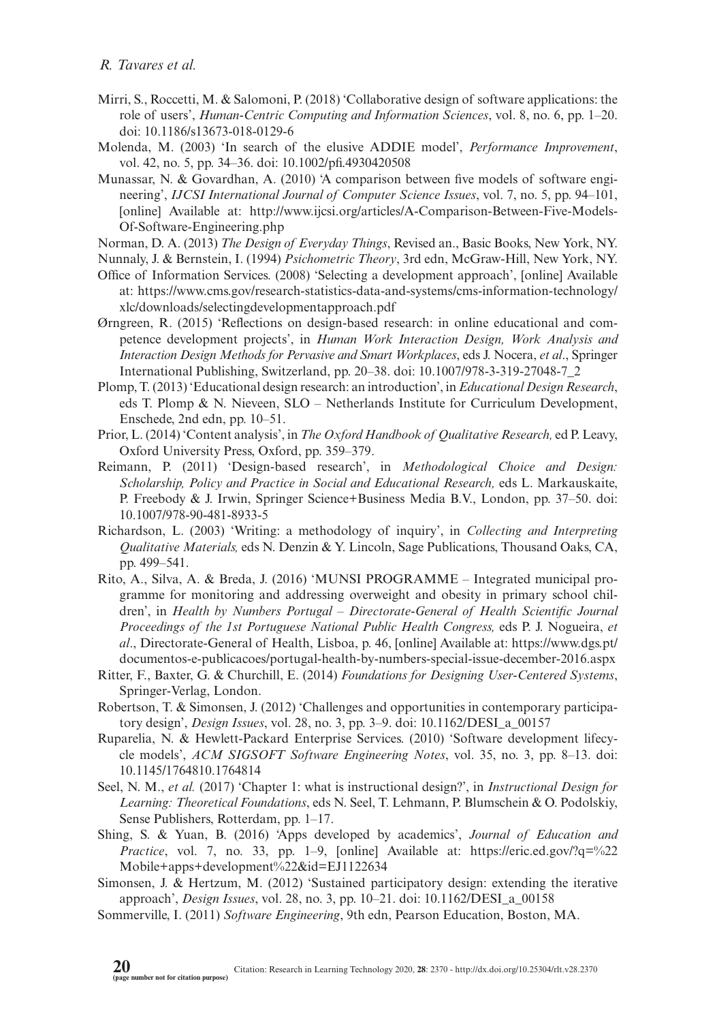- Mirri, S., Roccetti, M. & Salomoni, P. (2018) 'Collaborative design of software applications: the role of users', *Human-Centric Computing and Information Sciences*, vol. 8, no. 6, pp. 1–20. doi: [10.1186/s13673-018-0129-6](http://dx.doi.org/10.1186/s13673-018-0129-6)
- Molenda, M. (2003) 'In search of the elusive ADDIE model', *Performance Improvement*, vol. 42, no. 5, pp. 34–36. doi: [10.1002/pfi.4930420508](http://dx.doi.org/10.1002/pfi.4930420508)
- Munassar, N. & Govardhan, A. (2010) 'A comparison between five models of software engineering', *IJCSI International Journal of Computer Science Issues*, vol. 7, no. 5, pp. 94–101, [online] Available at: [http://www.ijcsi.org/articles/A-Comparison-Between-Five-Models-](http://www.ijcsi.org/articles/A-Comparison-Between-Five-Models-Of-Software-Engineering.php)[Of-Software-Engineering.php](http://www.ijcsi.org/articles/A-Comparison-Between-Five-Models-Of-Software-Engineering.php)
- Norman, D. A. (2013) *The Design of Everyday Things*, Revised an., Basic Books, New York, NY.
- Nunnaly, J. & Bernstein, I. (1994) *Psichometric Theory*, 3rd edn, McGraw-Hill, New York, NY.
- Office of Information Services. (2008) 'Selecting a development approach', [online] Available at: [https://www.cms.gov/research-statistics-data-and-systems/cms-information-technology/](https://www.cms.gov/research-statistics-data-and-systems/cms-information-technology/xlc/downloads/selectingdevelopmentapproach.pdf) [xlc/downloads/selectingdevelopmentapproach.pdf](https://www.cms.gov/research-statistics-data-and-systems/cms-information-technology/xlc/downloads/selectingdevelopmentapproach.pdf)
- Ørngreen, R. (2015) 'Reflections on design-based research: in online educational and competence development projects', in *Human Work Interaction Design, Work Analysis and Interaction Design Methods for Pervasive and Smart Workplaces*, eds J. Nocera, *et al*., Springer International Publishing, Switzerland, pp. 20–38. doi: [10.1007/978-3-319-27048-7\\_2](http://dx.doi.org/10.1007/978-3-319-27048-7_2)
- Plomp, T. (2013) 'Educational design research: an introduction', in *Educational Design Research*, eds T. Plomp & N. Nieveen, SLO – Netherlands Institute for Curriculum Development, Enschede, 2nd edn, pp. 10–51.
- Prior, L. (2014) 'Content analysis', in *The Oxford Handbook of Qualitative Research,* ed P. Leavy, Oxford University Press, Oxford, pp. 359–379.
- Reimann, P. (2011) 'Design-based research', in *Methodological Choice and Design: Scholarship, Policy and Practice in Social and Educational Research,* eds L. Markauskaite, P. Freebody & J. Irwin, Springer Science+Business Media B.V., London, pp. 37–50. doi: [10.1007/978-90-481-8933-5](http://dx.doi.org/10.1007/978-90-481-8933-5)
- Richardson, L. (2003) 'Writing: a methodology of inquiry', in *Collecting and Interpreting Qualitative Materials,* eds N. Denzin & Y. Lincoln, Sage Publications, Thousand Oaks, CA, pp. 499–541.
- Rito, A., Silva, A. & Breda, J. (2016) 'MUNSI PROGRAMME Integrated municipal programme for monitoring and addressing overweight and obesity in primary school children', in *Health by Numbers Portugal – Directorate-General of Health Scientific Journal Proceedings of the 1st Portuguese National Public Health Congress,* eds P. J. Nogueira, *et al*., Directorate-General of Health, Lisboa, p. 46, [online] Available at: [https://www.dgs.pt/](https://www.dgs.pt/documentos-e-publicacoes/portugal-health-by-numbers-special-issue-december-2016.aspx) [documentos-e-publicacoes/portugal-health-by-numbers-special-issue-december-2016.aspx](https://www.dgs.pt/documentos-e-publicacoes/portugal-health-by-numbers-special-issue-december-2016.aspx)
- Ritter, F., Baxter, G. & Churchill, E. (2014) *Foundations for Designing User-Centered Systems*, Springer-Verlag, London.
- Robertson, T. & Simonsen, J. (2012) 'Challenges and opportunities in contemporary participatory design', *Design Issues*, vol. 28, no. 3, pp. 3–9. doi: [10.1162/DESI\\_a\\_00157](http://dx.doi.org/10.1162/DESI_a_00157)
- Ruparelia, N. & Hewlett-Packard Enterprise Services. (2010) 'Software development lifecycle models', *ACM SIGSOFT Software Engineering Notes*, vol. 35, no. 3, pp. 8–13. doi: [10.1145/1764810.1764814](http://dx.doi.org/10.1145/1764810.1764814)
- Seel, N. M., *et al.* (2017) 'Chapter 1: what is instructional design?', in *Instructional Design for Learning: Theoretical Foundations*, eds N. Seel, T. Lehmann, P. Blumschein & O. Podolskiy, Sense Publishers, Rotterdam, pp. 1–17.
- Shing, S. & Yuan, B. (2016) 'Apps developed by academics', *Journal of Education and Practice*, vol. 7, no. 33, pp. 1–9, [online] Available at: [https://eric.ed.gov/?q=%22](https://eric.ed.gov/?q=%22Mobile+apps+development%22&id=EJ1122634) [Mobile+apps+development%22&id=EJ1122634](https://eric.ed.gov/?q=%22Mobile+apps+development%22&id=EJ1122634)
- Simonsen, J. & Hertzum, M. (2012) 'Sustained participatory design: extending the iterative approach', *Design Issues*, vol. 28, no. 3, pp. 10–21. doi: 10.1162/DESI\_a\_00158
- Sommerville, I. (2011) *Software Engineering*, 9th edn, Pearson Education, Boston, MA.